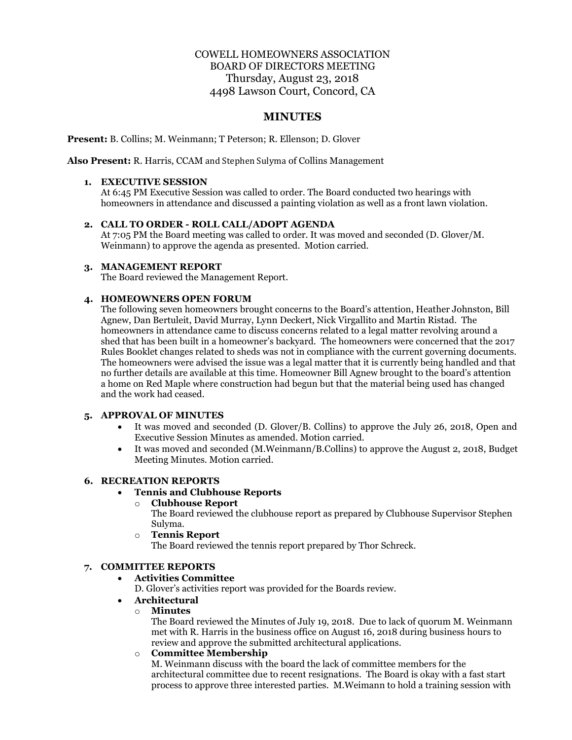# COWELL HOMEOWNERS ASSOCIATION BOARD OF DIRECTORS MEETING Thursday, August 23, 2018 4498 Lawson Court, Concord, CA

# **MINUTES**

**Present:** B. Collins; M. Weinmann; T Peterson; R. Ellenson; D. Glover

**Also Present:** R. Harris, CCAM and Stephen Sulyma of Collins Management

#### **1. EXECUTIVE SESSION**

At 6:45 PM Executive Session was called to order. The Board conducted two hearings with homeowners in attendance and discussed a painting violation as well as a front lawn violation.

#### **2. CALL TO ORDER - ROLL CALL/ADOPT AGENDA**

At 7:05 PM the Board meeting was called to order. It was moved and seconded (D. Glover/M. Weinmann) to approve the agenda as presented. Motion carried.

## **3. MANAGEMENT REPORT**

The Board reviewed the Management Report.

## **4. HOMEOWNERS OPEN FORUM**

The following seven homeowners brought concerns to the Board's attention, Heather Johnston, Bill Agnew, Dan Bertuleit, David Murray, Lynn Deckert, Nick Virgallito and Martin Ristad. The homeowners in attendance came to discuss concerns related to a legal matter revolving around a shed that has been built in a homeowner's backyard. The homeowners were concerned that the 2017 Rules Booklet changes related to sheds was not in compliance with the current governing documents. The homeowners were advised the issue was a legal matter that it is currently being handled and that no further details are available at this time. Homeowner Bill Agnew brought to the board's attention a home on Red Maple where construction had begun but that the material being used has changed and the work had ceased.

## **5. APPROVAL OF MINUTES**

- It was moved and seconded (D. Glover/B. Collins) to approve the July 26, 2018, Open and Executive Session Minutes as amended. Motion carried.
- It was moved and seconded (M.Weinmann/B.Collins) to approve the August 2, 2018, Budget Meeting Minutes. Motion carried.

## **6. RECREATION REPORTS**

## • **Tennis and Clubhouse Reports**

#### o **Clubhouse Report**

The Board reviewed the clubhouse report as prepared by Clubhouse Supervisor Stephen Sulyma.

o **Tennis Report**

The Board reviewed the tennis report prepared by Thor Schreck.

## **7. COMMITTEE REPORTS**

## • **Activities Committee**

D. Glover's activities report was provided for the Boards review.

## • **Architectural**

## o **Minutes**

The Board reviewed the Minutes of July 19, 2018. Due to lack of quorum M. Weinmann met with R. Harris in the business office on August 16, 2018 during business hours to review and approve the submitted architectural applications.

## o **Committee Membership**

M. Weinmann discuss with the board the lack of committee members for the architectural committee due to recent resignations. The Board is okay with a fast start process to approve three interested parties. M.Weimann to hold a training session with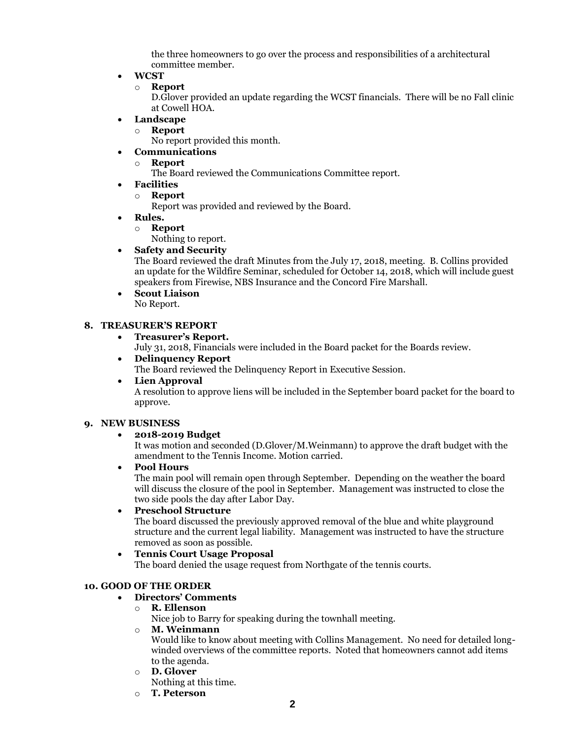the three homeowners to go over the process and responsibilities of a architectural committee member.

# • **WCST**

o **Report**

D.Glover provided an update regarding the WCST financials. There will be no Fall clinic at Cowell HOA.

- **Landscape** 
	- o **Report**

No report provided this month.

# • **Communications**

o **Report**

The Board reviewed the Communications Committee report.

# • **Facilities**

o **Report**

Report was provided and reviewed by the Board.

- **Rules.** 
	- o **Report**
		- Nothing to report.

# • **Safety and Security**

The Board reviewed the draft Minutes from the July 17, 2018, meeting. B. Collins provided an update for the Wildfire Seminar, scheduled for October 14, 2018, which will include guest speakers from Firewise, NBS Insurance and the Concord Fire Marshall.

• **Scout Liaison** No Report.

## **8. TREASURER'S REPORT**

• **Treasurer's Report.**

July 31, 2018, Financials were included in the Board packet for the Boards review.

# • **Delinquency Report**

The Board reviewed the Delinquency Report in Executive Session.

• **Lien Approval** A resolution to approve liens will be included in the September board packet for the board to approve.

## **9. NEW BUSINESS**

## • **2018-2019 Budget**

It was motion and seconded (D.Glover/M.Weinmann) to approve the draft budget with the amendment to the Tennis Income. Motion carried.

• **Pool Hours**

The main pool will remain open through September. Depending on the weather the board will discuss the closure of the pool in September. Management was instructed to close the two side pools the day after Labor Day.

## • **Preschool Structure**

The board discussed the previously approved removal of the blue and white playground structure and the current legal liability. Management was instructed to have the structure removed as soon as possible.

## • **Tennis Court Usage Proposal**

The board denied the usage request from Northgate of the tennis courts.

## **10. GOOD OF THE ORDER**

## • **Directors' Comments**

## o **R. Ellenson**

Nice job to Barry for speaking during the townhall meeting.

## o **M. Weinmann**

Would like to know about meeting with Collins Management. No need for detailed longwinded overviews of the committee reports. Noted that homeowners cannot add items to the agenda.

o **D. Glover**

Nothing at this time.

o **T. Peterson**